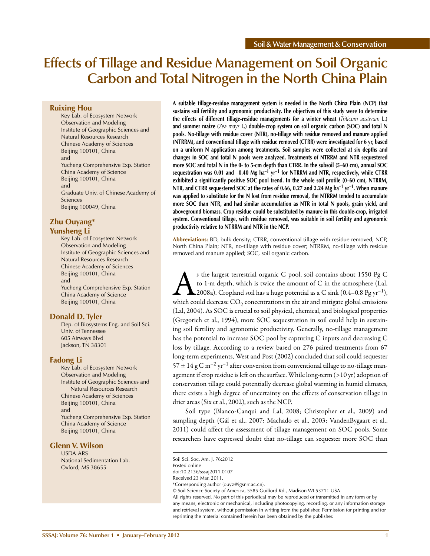# **Effects of Tillage and Residue Management on Soil Organic Carbon and Total Nitrogen in the North China Plain**

# **Ruixing Hou**

Key Lab. of Ecosystem Network Observation and Modeling Institute of Geographic Sciences and Natural Resources Research Chinese Academy of Sciences Beijing 100101, China and Yucheng Comprehensive Exp. Station China Academy of Science Beijing 100101, China and Graduate Univ. of Chinese Academy of Sciences Beijing 100049, China

# **Zhu Ouyang\***

#### **Yunsheng Li**

Key Lab. of Ecosystem Network Observation and Modeling Institute of Geographic Sciences and Natural Resources Research Chinese Academy of Sciences Beijing 100101, China and Yucheng Comprehensive Exp. Station China Academy of Science Beijing 100101, China

# **Donald D. Tyler**

Dep. of Biosystems Eng. and Soil Sci. Univ. of Tennessee 605 Airways Blvd Jackson, TN 38301

# **Fadong Li**

Key Lab. of Ecosystem Network Observation and Modeling Institute of Geographic Sciences and Natural Resources Research Chinese Academy of Sciences Beijing 100101, China and Yucheng Comprehensive Exp. Station China Academy of Science Beijing 100101, China

# **Glenn V. Wilson**

USDA-ARS National Sedimentation Lab. Oxford, MS 38655

**A suitable tillage-residue management system is needed in the North China Plain (NCP) that sustains soil fertility and agronomic productivity. The objectives of this study were to determine the effects of different tillage-residue managements for a winter wheat (***Triticum aestivum* **L.) and summer maize (***Zea mays* **L.) double-crop system on soil organic carbon (SOC) and total N pools. No-tillage with residue cover (NTR), no-tillage with residue removed and manure applied (NTRRM), and conventional tillage with residue removed (CTRR) were investigated for 6 yr, based on a uniform N application among treatments. Soil samples were collected at six depths and changes in SOC and total N pools were analyzed. Treatments of NTRRM and NTR sequestered more SOC and total N in the 0- to 5-cm depth than CTRR. In the subsoil (5–60 cm), annual SOC sequestration was 0.01 and** -**0.40 Mg ha–1 yr–1 for NTRRM and NTR, respectively, while CTRR exhibited a significantly positive SOC pool trend. In the whole soil profile (0–60 cm), NTRRM, NTR, and CTRR sequestered SOC at the rates of 0.66, 0.27 and 2.24 Mg ha–1 yr–1. When manure was applied to substitute for the N lost from residue removal, the NTRRM tended to accumulate more SOC than NTR, and had similar accumulation as NTR in total N pools, grain yield, and aboveground biomass. Crop residue could be substituted by manure in this double-crop, irrigated system. Conventional tillage, with residue removed, was suitable in soil fertility and agronomic productivity relative to NTRRM and NTR in the NCP.**

**Abbreviations:** BD, bulk density; CTRR, conventional tillage with residue removed; NCP, North China Plain; NTR, no-tillage with residue cover; NTRRM, no-tillage with residue removed and manure applied; SOC, soil organic carbon.

s the largest terrestrial organic C pool, soil contains about 1550 Pg C<br>to 1-m depth, which is twice the amount of C in the atmosphere (Lal,<br>2008a). Cropland soil has a huge potential as a C sink (0.4–0.8 Pg  $yr^{-1}$ ),<br>whic to 1-m depth, which is twice the amount of C in the atmosphere (Lal,  $\triangle$ 2008a). Cropland soil has a huge potential as a C sink (0.4–0.8 Pg yr<sup>-1</sup>), which could decrease  $CO<sub>2</sub>$  concentrations in the air and mitigate global emissions (Lal, 2004). As SOC is crucial to soil physical, chemical, and biological properties (Gregorich et al., 1994), more SOC sequestration in soil could help in sustaining soil fertility and agronomic productivity. Generally, no-tillage management has the potential to increase SOC pool by capturing C inputs and decreasing C loss by tillage. According to a review based on 276 paired treatments from 67 long-term experiments, West and Post (2002) concluded that soil could sequester  $57 \pm 14$  g C m<sup>-2</sup> yr<sup>-1</sup> after conversion from conventional tillage to no-tillage management if crop residue is left on the surface. While long-term (>10 yr) adoption of conservation tillage could potentially decrease global warming in humid climates, there exists a high degree of uncertainty on the effects of conservation tillage in drier areas (Six et al., 2002), such as the NCP.

Soil type (Blanco-Canqui and Lal, 2008; Christopher et al., 2009) and sampling depth (Gál et al., 2007; Machado et al., 2003; VandenBygaart et al., 2011) could affect the assessment of tillage management on SOC pools. Some researchers have expressed doubt that no-tillage can sequester more SOC than

Soil Sci. Soc. Am. J. 76:2012

Posted online

doi:10.2136/sssaj2011.0107

Received 23 Mar. 2011.

<sup>\*</sup>Corresponding author (ouyz@igsnrr.ac.cn).

<sup>©</sup> Soil Science Society of America, 5585 Guilford Rd., Madison WI 53711 USA

All rights reserved. No part of this periodical may be reproduced or transmitted in any form or by any means, electronic or mechanical, including photocopying, recording, or any information storage and retrieval system, without permission in writing from the publisher. Permission for printing and for reprinting the material contained herein has been obtained by the publisher.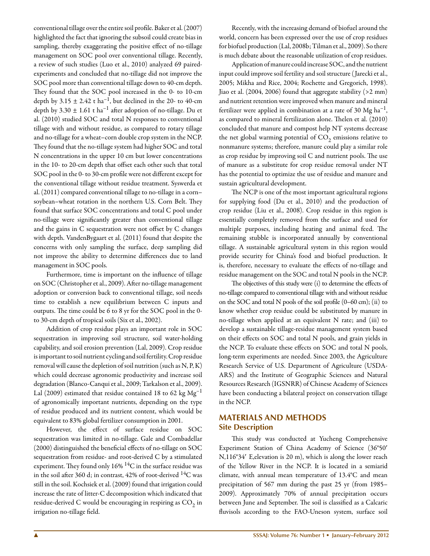conventional tillage over the entire soil profile. Baker et al. (2007) highlighted the fact that ignoring the subsoil could create bias in sampling, thereby exaggerating the positive effect of no-tillage management on SOC pool over conventional tillage. Recently, a review of such studies (Luo et al., 2010) analyzed 69 pairedexperiments and concluded that no-tillage did not improve the SOC pool more than conventional tillage down to 40-cm depth. They found that the SOC pool increased in the 0- to 10-cm depth by  $3.15 \pm 2.42$  t ha<sup>-1</sup>, but declined in the 20- to 40-cm depth by  $3.30 \pm 1.61$  t ha<sup>-1</sup> after adoption of no-tillage. Du et al. (2010) studied SOC and total N responses to conventional tillage with and without residue, as compared to rotary tillage and no-tillage for a wheat–corn double crop system in the NCP. They found that the no-tillage system had higher SOC and total N concentrations in the upper 10 cm but lower concentrations in the 10- to 20-cm depth that offset each other such that total SOC pool in the 0- to 30-cm profile were not different except for the conventional tillage without residue treatment. Syswerda et al. (2011) compared conventional tillage to no-tillage in a corn– soybean–wheat rotation in the northern U.S. Corn Belt. They found that surface SOC concentrations and total C pool under no-tillage were significantly greater than conventional tillage and the gains in C sequestration were not offset by C changes with depth. VandenBygaart et al. (2011) found that despite the concerns with only sampling the surface, deep sampling did not improve the ability to determine differences due to land management in SOC pools.

Furthermore, time is important on the influence of tillage on SOC (Christopher et al., 2009). After no-tillage management adoption or conversion back to conventional tillage, soil needs time to establish a new equilibrium between C inputs and outputs. The time could be 6 to 8 yr for the SOC pool in the 0 to 30-cm depth of tropical soils (Six et al., 2002).

Addition of crop residue plays an important role in SOC sequestration in improving soil structure, soil water-holding capability, and soil erosion prevention (Lal, 2009). Crop residue is important to soil nutrient cycling and soil fertility. Crop residue removal will cause the depletion of soil nutrition (such as N, P, K) which could decrease agronomic productivity and increase soil degradation (Blanco-Canqui et al., 2009; Tarkalson et al., 2009). Lal (2009) estimated that residue contained 18 to 62 kg  $Mg^{-1}$ of agronomically important nutrients, depending on the type of residue produced and its nutrient content, which would be equivalent to 83% global fertilizer consumption in 2001.

However, the effect of surface residue on SOC sequestration was limited in no-tillage. Gale and Combadellar (2000) distinguished the beneficial effects of no-tillage on SOC sequestration from residue- and root-derived C by a stimulated experiment. They found only  $16\%$   $^{14}$ C in the surface residue was in the soil after 360 d; in contrast,  $42\%$  of root-derived  $14C$  was still in the soil. Kochsiek et al. (2009) found that irrigation could increase the rate of litter-C decomposition which indicated that residue-derived C would be encouraging in respiring as  $CO<sub>2</sub>$  in irrigation no-tillage field.

Recently, with the increasing demand of biofuel around the world, concern has been expressed over the use of crop residues for biofuel production (Lal, 2008b; Tilman et al., 2009). So there is much debate about the reasonable utilization of crop residues.

Application of manure could increase SOC, and the nutrient input could improve soil fertility and soil structure ( Jarecki et al., 2005; Mikha and Rice, 2004; Rochette and Gregorich, 1998). Jiao et al. (2004, 2006) found that aggregate stability (>2 mm) and nutrient retention were improved when manure and mineral fertilizer were applied in combination at a rate of 30 Mg  $ha^{-1}$ , as compared to mineral fertilization alone. Thelen et al. (2010) concluded that manure and compost help NT systems decrease the net global warming potential of  $CO<sub>2</sub>$  emissions relative to nonmanure systems; therefore, manure could play a similar role as crop residue by improving soil C and nutrient pools. The use of manure as a substitute for crop residue removal under NT has the potential to optimize the use of residue and manure and sustain agricultural development.

The NCP is one of the most important agricultural regions for supplying food (Du et al., 2010) and the production of crop residue (Liu et al., 2008). Crop residue in this region is essentially completely removed from the surface and used for multiple purposes, including heating and animal feed. The remaining stubble is incorporated annually by conventional tillage. A sustainable agricultural system in this region would provide security for China's food and biofuel production. It is, therefore, necessary to evaluate the effects of no-tillage and residue management on the SOC and total N pools in the NCP.

The objectives of this study were (i) to determine the effects of no-tillage compared to conventional tillage with and without residue on the SOC and total N pools of the soil profile (0–60 cm); (ii) to know whether crop residue could be substituted by manure in no-tillage when applied at an equivalent N rate; and (iii) to develop a sustainable tillage-residue management system based on their effects on SOC and total N pools, and grain yields in the NCP. To evaluate these effects on SOC and total N pools, long-term experiments are needed. Since 2003, the Agriculture Research Service of U.S. Department of Agriculture (USDA-ARS) and the Institute of Geographic Sciences and Natural Resources Research (IGSNRR) of Chinese Academy of Sciences have been conducting a bilateral project on conservation tillage in the NCP.

# **MATERIALS AND METHODS Site Description**

This study was conducted at Yucheng Comprehensive Experiment Station of China Academy of Science (36°50′ N,116°34′ E,elevation is 20 m), which is along the lower reach of the Yellow River in the NCP. It is located in a semiarid climate, with annual mean temperature of 13.4°C and mean precipitation of 567 mm during the past 25 yr (from 1985– 2009). Approximately 70% of annual precipitation occurs between June and September. The soil is classified as a Calcaric fluvisols according to the FAO-Uneson system, surface soil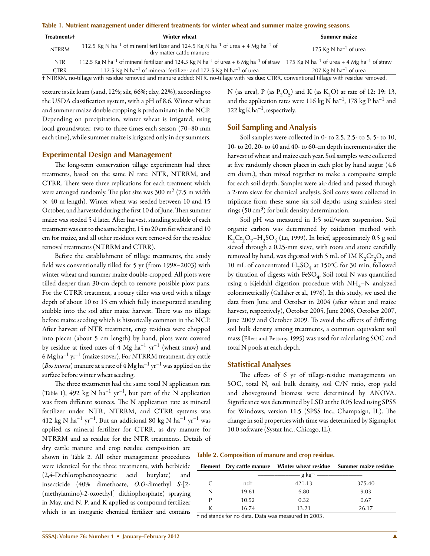**Table 1. Nutrient management under different treatments for winter wheat and summer maize growing seasons.**

| <b>Treatments+</b>                                                                                                                        | Winter wheat                                                                                                                                                                                  | Summer maize               |  |  |  |  |
|-------------------------------------------------------------------------------------------------------------------------------------------|-----------------------------------------------------------------------------------------------------------------------------------------------------------------------------------------------|----------------------------|--|--|--|--|
| <b>NTRRM</b>                                                                                                                              | 112.5 Kg N ha <sup>-1</sup> of mineral fertilizer and 124.5 Kg N ha <sup>-1</sup> of urea + 4 Mg ha <sup>-1</sup> of<br>dry matter cattle manure                                              | 175 Kg N $ha^{-1}$ of urea |  |  |  |  |
| <b>NTR</b>                                                                                                                                | 112.5 Kg N ha <sup>-1</sup> of mineral fertilizer and 124.5 Kg N ha <sup>-1</sup> of urea + 6 Mg ha <sup>-1</sup> of straw 175 Kg N ha <sup>-1</sup> of urea + 4 Mg ha <sup>-1</sup> of straw |                            |  |  |  |  |
| <b>CTRR</b>                                                                                                                               | 112.5 Kg N ha <sup>-1</sup> of mineral fertilizer and 172.5 Kg N ha <sup>-1</sup> of urea                                                                                                     | 207 Kg N $ha^{-1}$ of urea |  |  |  |  |
| t NTRRM, no-tillage with residue removed and manure added; NTR, no-tillage with residue; CTRR, conventional tillage with residue removed. |                                                                                                                                                                                               |                            |  |  |  |  |

texture is silt loam (sand, 12%; silt, 66%; clay, 22%), according to the USDA classification system, with a pH of 8.6. Winter wheat and summer maize double cropping is predominant in the NCP. Depending on precipitation, winter wheat is irrigated, using local groundwater, two to three times each season (70–80 mm each time), while summer maize is irrigated only in dry summers.

#### **Experimental Design and Management**

The long-term conservation tillage experiments had three treatments, based on the same N rate: NTR, NTRRM, and CTRR. There were three replications for each treatment which were arranged randomly. The plot size was  $300 \text{ m}^2$  (7.5 m width  $\times$  40 m length). Winter wheat was seeded between 10 and 15 October, and harvested during the first 10 d of June. Then summer maize was seeded 5 d later. After harvest, standing stubble of each treatment was cut to the same height, 15 to 20 cm for wheat and 10 cm for maize, and all other residues were removed for the residue removal treatments (NTRRM and CTRR).

Before the establishment of tillage treatments, the study field was conventionally tilled for 5 yr (from 1998–2003) with winter wheat and summer maize double-cropped. All plots were tilled deeper than 30-cm depth to remove possible plow pans. For the CTRR treatment, a rotary tiller was used with a tillage depth of about 10 to 15 cm which fully incorporated standing stubble into the soil after maize harvest. There was no tillage before maize seeding which is historically common in the NCP. After harvest of NTR treatment, crop residues were chopped into pieces (about 5 cm length) by hand, plots were covered by residue at fixed rates of  $4 \text{ Mg } \text{ha}^{-1} \text{ yr}^{-1}$  (wheat straw) and 6 Mg ha<sup>-1</sup> yr<sup>-1</sup> (maize stover). For NTRRM treatment, dry cattle (*Bos taurus*) manure at a rate of 4 Mg ha–1 yr–1 was applied on the surface before winter wheat seeding.

The three treatments had the same total N application rate (Table 1), 492 kg N ha<sup>-1</sup> yr<sup>-1</sup>, but part of the N application was from different sources. The N application rate as mineral fertilizer under NTR, NTRRM, and CTRR systems was 412 kg N ha<sup>-1</sup> yr<sup>-1</sup>. But an additional 80 kg N ha<sup>-1</sup> yr<sup>-1</sup> was applied as mineral fertilizer for CTRR, as dry manure for NTRRM and as residue for the NTR treatments. Details of dry cattle manure and crop residue composition are shown in Table 2. All other management procedures were identical for the three treatments, with herbicide (2,4-Dichlorophenoxyacetic acid butylate) and insecticide (40% dimethoate, *O*,*O*-dimethyl *S*-[2- (methylamino)-2-oxoethyl] dithiophosphate) spraying

N (as urea), P (as  $P_2O_5$ ) and K (as  $K_2O$ ) at rate of 12: 19: 13, and the application rates were 116 kg N ha<sup>-1</sup>, 178 kg P ha<sup>-1</sup> and 122 kg K ha<sup>-1</sup>, respectively.

# **Soil Sampling and Analysis**

Soil samples were collected in 0- to 2.5, 2.5- to 5, 5- to 10, 10- to 20, 20- to 40 and 40- to 60-cm depth increments after the harvest of wheat and maize each year. Soil samples were collected at five randomly chosen places in each plot by hand augur (4.6 cm diam.), then mixed together to make a composite sample for each soil depth. Samples were air-dried and passed through a 2-mm sieve for chemical analysis. Soil cores were collected in triplicate from these same six soil depths using stainless steel rings  $(50 \text{ cm}^3)$  for bulk density determination.

Soil pH was measured in 1:5 soil/water suspension. Soil organic carbon was determined by oxidation method with  $K_2Cr_2O_7-H_2SO_4$  (Lu, 1999). In brief, approximately 0.5 g soil sieved through a 0.25-mm sieve, with roots and stone carefully removed by hand, was digested with 5 mL of 1M  $K_2Cr_2O_7$  and 10 mL of concentrated  $H_2SO_4$  at 150°C for 30 min, followed by titration of digests with  $FeSO_4$ . Soil total N was quantified using a Kjeldahl digestion procedure with  $NH_4-N$  analyzed colorimetrically (Gallaher et al., 1976). In this study, we used the data from June and October in 2004 (after wheat and maize harvest, respectively), October 2005, June 2006, October 2007, June 2009 and October 2009. To avoid the effects of differing soil bulk density among treatments, a common equivalent soil mass (Ellert and Bettany, 1995) was used for calculating SOC and total N pools at each depth.

#### **Statistical Analyses**

The effects of 6 yr of tillage-residue managements on SOC, total N, soil bulk density, soil C/N ratio, crop yield and aboveground biomass were determined by ANOVA. Significance was determined by LSD at the 0.05 level using SPSS for Windows, version 11.5 (SPSS Inc., Champaign, IL). The change in soil properties with time was determined by Sigmaplot 10.0 software (Systat Inc., Chicago, IL).

**Table 2. Composition of manure and crop residue.**

|   |       |                        | Element Dry cattle manure Winter wheat residue Summer maize residue |  |  |
|---|-------|------------------------|---------------------------------------------------------------------|--|--|
|   |       | - g kg <sup>-1</sup> — |                                                                     |  |  |
|   | ndt   | 421.13                 | 375.40                                                              |  |  |
| N | 19.61 | 6.80                   | 9.03                                                                |  |  |
| D | 10.52 | 0.32                   | 0.67                                                                |  |  |
| K | 16.74 | 13.21                  | 26.17                                                               |  |  |
|   |       |                        |                                                                     |  |  |

† nd stands for no data. Data was measured in 2003.

in May, and N, P, and K applied as compound fertilizer which is an inorganic chemical fertilizer and contains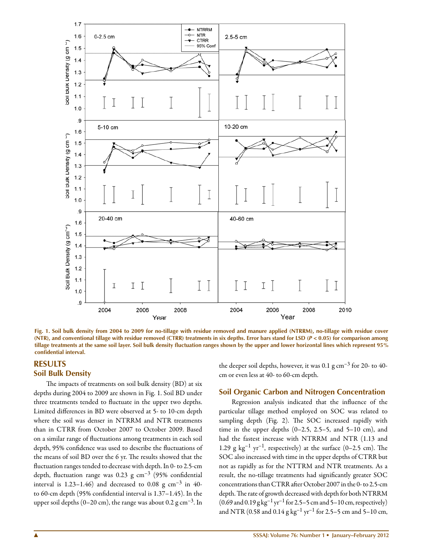

**Fig. 1. Soil bulk density from 2004 to 2009 for no-tillage with residue removed and manure applied (NTRRM), no-tillage with residue cover (NTR), and conventional tillage with residue removed (CTRR) treatments in six depths. Error bars stand for LSD (***P* **< 0.05) for comparison among tillage treatments at the same soil layer. Soil bulk density fluctuation ranges shown by the upper and lower horizontal lines which represent 95% confidential interval.**

# **RESULTS Soil Bulk Density**

The impacts of treatments on soil bulk density (BD) at six depths during 2004 to 2009 are shown in Fig. 1. Soil BD under three treatments tended to fluctuate in the upper two depths. Limited differences in BD were observed at 5- to 10-cm depth where the soil was denser in NTRRM and NTR treatments than in CTRR from October 2007 to October 2009. Based on a similar range of fluctuations among treatments in each soil depth, 95% confidence was used to describe the fluctuations of the means of soil BD over the 6 yr. The results showed that the fluctuation ranges tended to decrease with depth. In 0- to 2.5-cm depth, fluctuation range was 0.23 g  $cm^{-3}$  (95% confidential interval is 1.23–1.46) and decreased to 0.08 g  $cm^{-3}$  in 40to 60-cm depth (95% confidential interval is 1.37–1.45). In the upper soil depths (0–20 cm), the range was about 0.2 g cm<sup>-3</sup>. In

the deeper soil depths, however, it was  $0.1$  g cm<sup>-3</sup> for 20- to 40cm or even less at 40- to 60-cm depth.

#### **Soil Organic Carbon and Nitrogen Concentration**

Regression analysis indicated that the influence of the particular tillage method employed on SOC was related to sampling depth (Fig. 2). The SOC increased rapidly with time in the upper depths  $(0-2.5, 2.5-5,$  and  $5-10$  cm), and had the fastest increase with NTRRM and NTR (1.13 and 1.29 g  $kg^{-1}$  yr<sup>-1</sup>, respectively) at the surface (0-2.5 cm). The SOC also increased with time in the upper depths of CTRR but not as rapidly as for the NTTRM and NTR treatments. As a result, the no-tillage treatments had significantly greater SOC concentrations than CTRR after October 2007 in the 0- to 2.5-cm depth. The rate of growth decreased with depth for both NTRRM  $(0.69 \text{ and } 0.19 \text{ g kg}^{-1} \text{ yr}^{-1}$  for 2.5–5 cm and 5–10 cm, respectively) and NTR (0.58 and 0.14  $g kg^{-1} yr^{-1}$  for 2.5–5 cm and 5–10 cm,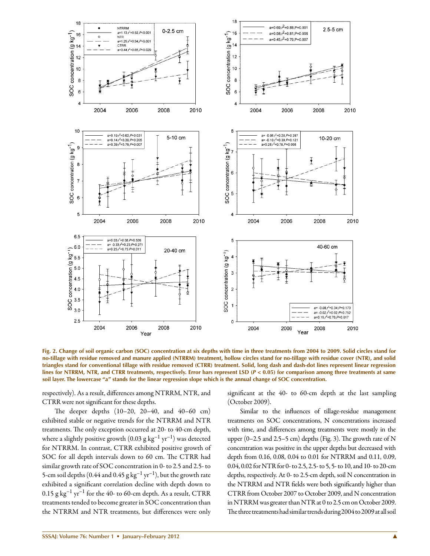

**Fig. 2. Change of soil organic carbon (SOC) concentration at six depths with time in three treatments from 2004 to 2009. Solid circles stand for no-tillage with residue removed and manure applied (NTRRM) treatment, hollow circles stand for no-tillage with residue cover (NTR), and solid triangles stand for conventional tillage with residue removed (CTRR) treatment. Solid, long dash and dash-dot lines represent linear regression lines for NTRRM, NTR, and CTRR treatments, respectively. Error bars represent LSD (***P* **< 0.05) for comparison among three treatments at same soil layer. The lowercase "a" stands for the linear regression slope which is the annual change of SOC concentration.**

respectively). As a result, differences among NTRRM, NTR, and CTRR were not significant for these depths.

The deeper depths (10–20, 20–40, and 40–60 cm) exhibited stable or negative trends for the NTRRM and NTR treatments. The only exception occurred at 20- to 40-cm depth, where a slightly positive growth  $(0.03 \text{ g kg}^{-1} \text{ yr}^{-1})$  was detected for NTRRM. In contrast, CTRR exhibited positive growth of SOC for all depth intervals down to 60 cm. The CTRR had similar growth rate of SOC concentration in 0- to 2.5 and 2.5- to 5-cm soil depths (0.44 and 0.45  $g\, kg^{-1}\, yr^{-1}$ ), but the growth rate exhibited a significant correlation decline with depth down to  $0.15$  g kg<sup>-1</sup> yr<sup>-1</sup> for the 40- to 60-cm depth. As a result, CTRR treatments tended to become greater in SOC concentration than the NTRRM and NTR treatments, but differences were only

significant at the 40- to 60-cm depth at the last sampling (October 2009).

Similar to the influences of tillage-residue management treatments on SOC concentrations, N concentrations increased with time, and differences among treatments were mostly in the upper  $(0-2.5 \text{ and } 2.5-5 \text{ cm})$  depths (Fig. 3). The growth rate of N concentration was positive in the upper depths but decreased with depth from 0.16, 0.08, 0.04 to 0.01 for NTRRM and 0.11, 0.09, 0.04, 0.02 for NTR for 0- to 2.5, 2.5- to 5, 5- to 10, and 10- to 20-cm depths, respectively. At 0- to 2.5-cm depth, soil N concentration in the NTRRM and NTR fields were both significantly higher than CTRR from October 2007 to October 2009, and N concentration in NTRRM was greater than NTR at 0 to 2.5 cm on October 2009. The three treatments had similar trends during 2004 to 2009 at all soil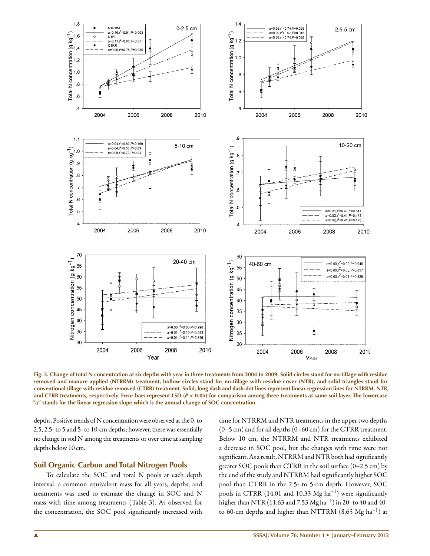

**Fig. 3. Change of total N concentration at six depths with year in three treatments from 2004 to 2009. Solid circles stand for no-tillage with residue removed and manure applied (NTRRM) treatment, hollow circles stand for no-tillage with residue cover (NTR), and solid triangles stand for conventional tillage with residue removed (CTRR) treatment. Solid, long dash and dash-dot lines represent linear regression lines for NTRRM, NTR, and CTRR treatments, respectively. Error bars represent LSD (***P* **< 0.05) for comparison among three treatments at same soil layer. The lowercase "a" stands for the linear regression slope which is the annual change of SOC concentration.**

depths. Positive trends of N concentration were observed at the 0- to 2.5, 2.5- to 5 and 5- to 10-cm depths; however, there was essentially no change in soil N among the treatments or over time at sampling depths below 10 cm.

#### **Soil Organic Carbon and Total Nitrogen Pools**

To calculate the SOC and total N pools at each depth interval, a common equivalent mass for all years, depths, and treatments was used to estimate the change in SOC and N mass with time among treatments (Table 3). As observed for the concentration, the SOC pool significantly increased with

time for NTRRM and NTR treatments in the upper two depths (0–5 cm) and for all depths (0–60 cm) for the CTRR treatment. Below 10 cm, the NTRRM and NTR treatments exhibited a decrease in SOC pool, but the changes with time were not significant. As a result, NTRRM and NTR both had significantly greater SOC pools than CTRR in the soil surface (0–2.5 cm) by the end of the study and NTRRM had significantly higher SOC pool than CTRR in the 2.5- to 5-cm depth. However, SOC pools in CTRR (14.01 and 10.33 Mg ha–1) were significantly higher than NTR (11.63 and 7.53 Mg ha<sup>-1</sup>) in 20- to 40 and 40to 60-cm depths and higher than NTTRM  $(8.65 \text{ Mg ha}^{-1})$  at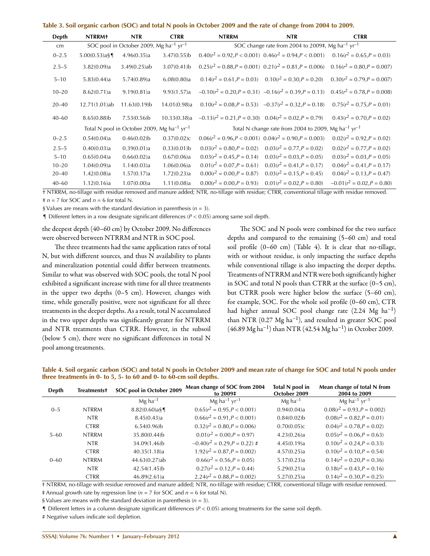|  |  |  |  |  |  | Table 3. Soil organic carbon (SOC) and total N pools in October 2009 and the rate of change from 2004 to 2009. |  |  |
|--|--|--|--|--|--|----------------------------------------------------------------------------------------------------------------|--|--|
|  |  |  |  |  |  |                                                                                                                |  |  |

| Depth     | <b>NTRRM+</b>    | <b>NTR</b>                                                         | <b>CTRR</b>    | <b>NTRRM</b>                                                                | <b>NTR</b>                                                  | <b>CTRR</b>                   |  |  |  |
|-----------|------------------|--------------------------------------------------------------------|----------------|-----------------------------------------------------------------------------|-------------------------------------------------------------|-------------------------------|--|--|--|
| cm        |                  | SOC pool in October 2009, Mg ha <sup>-1</sup> yr <sup>-1</sup>     |                | SOC change rate from 2004 to 2009‡, Mg ha <sup>-1</sup> yr <sup>-1</sup>    |                                                             |                               |  |  |  |
| $0 - 2.5$ | $5.00(0.53)a$ §¶ | 4.96(0.35)a                                                        | 3.47(0.55)b    |                                                                             | $0.40(r^2 = 0.92, P < 0.001)$ $0.46(r^2 = 0.94, P < 0.001)$ | $0.16(r^2 = 0.65, P = 0.03)$  |  |  |  |
| $2.5 - 5$ | 3.82(0.09)a      | $3.49(0.25)$ ab                                                    | $3.07(0.41)$ b |                                                                             | $0.25(r^2 = 0.88, P = 0.001)$ $0.21(r^2 = 0.81, P = 0.006)$ | $0.16(r^2 = 0.80, P = 0.007)$ |  |  |  |
| $5 - 10$  | 5.83(0.44)a      | 5.74(0.89)a                                                        | 6.08(0.80)a    |                                                                             | $0.14(r^2 = 0.61, P = 0.03)$ $0.10(r^2 = 0.30, P = 0.20)$   | $0.30(r^2 = 0.79, P = 0.007)$ |  |  |  |
| $10 - 20$ | 8.62(0.71)a      | 9.19(0.81)a                                                        | 9.93(1.57)a    |                                                                             | $-0.10(r^2 = 0.20, P = 0.31)$ $-0.16(r^2 = 0.39, P = 0.13)$ | $0.45(r^2 = 0.78, P = 0.008)$ |  |  |  |
| $20 - 40$ | 12.71(1.01)ab    | $11.63(0.19)$ b                                                    | 14.01(0.98)a   |                                                                             | $0.10(r^2 = 0.08, P = 0.53)$ $-0.37(r^2 = 0.32, P = 0.18)$  | $0.75(r^2 = 0.75, P = 0.01)$  |  |  |  |
| $40 - 60$ | $8.65(0.88)$ b   | $7.53(0.56)$ b                                                     | 10.33(0.38)a   | $-0.13(r^2 = 0.21, P = 0.30)$ $0.04(r^2 = 0.02, P = 0.79)$                  |                                                             | $0.43(r^2 = 0.70, P = 0.02)$  |  |  |  |
|           |                  | Total N pool in October 2009, Mg ha <sup>-1</sup> yr <sup>-1</sup> |                | Total N change rate from 2004 to 2009, Mg ha <sup>-1</sup> yr <sup>-1</sup> |                                                             |                               |  |  |  |
| $0 - 2.5$ | 0.54(0.04)a      | $0.46(0.02)$ b                                                     | 0.37(0.02)c    |                                                                             | $0.06(r^2 = 0.96, P < 0.001)$ $0.04(r^2 = 0.90, P = 0.003)$ | $0.02(r^2 = 0.92, P = 0.02)$  |  |  |  |
| $2.5 - 5$ | 0.40(0.03)a      | 0.39(0.01)a                                                        | $0.33(0.01)$ b | $0.03(r^2 = 0.80, P = 0.02)$                                                | $0.03(r^2 = 0.77, P = 0.02)$                                | $0.02(r^2 = 0.77, P = 0.02)$  |  |  |  |
| $5 - 10$  | 0.65(0.04)a      | 0.66(0.02)a                                                        | 0.67(0.06)a    | $0.03(r^2 = 0.45, P = 0.14)$                                                | $0.03(r^2 = 0.03, P = 0.05)$                                | $0.03(r^2 = 0.03, P = 0.05)$  |  |  |  |
| $10 - 20$ | 1.04(0.09)a      | 1.14(0.03)a                                                        | 1.06(0.06)a    | $0.01(r^2 = 0.07, P = 0.61)$                                                | $0.03(r^2 = 0.41, P = 0.17)$                                | $0.04(r^2 = 0.41, P = 0.17)$  |  |  |  |
| $20 - 40$ | 1.42(0.08)a      | 1.57(0.17)a                                                        | 1.72(0.23)a    | $0.00(r^2 = 0.00, P = 0.87)$                                                | $0.03(r^2 = 0.15, P = 0.45)$                                | $0.04(r^2 = 0.13, P = 0.47)$  |  |  |  |
| $40 - 60$ | 1.12(0.16)a      | 1.07(0.00)a                                                        | 1.11(0.08)a    | $0.00(r^2 = 0.00, P = 0.93)$                                                | $0.01(r^2 = 0.02, P = 0.80)$                                | $-0.01(r^2 = 0.02, P = 0.80)$ |  |  |  |

† NTRRM, no-tillage with residue removed and manure added; NTR, no-tillage with residue; CTRR, conventional tillage with residue removed.  $\pm n = 7$  for SOC and  $n = 6$  for total N.

§ Values are means with the standard deviation in parenthesis  $(n = 3)$ .

 $\P$  Different letters in a row designate significant differences ( $P < 0.05$ ) among same soil depth.

the deepest depth (40–60 cm) by October 2009. No differences were observed between NTRRM and NTR in SOC pool.

The three treatments had the same application rates of total N, but with different sources, and thus N availability to plants and mineralization potential could differ between treatments. Similar to what was observed with SOC pools, the total N pool exhibited a significant increase with time for all three treatments in the upper two depths (0–5 cm). However, changes with time, while generally positive, were not significant for all three treatments in the deeper depths. As a result, total N accumulated in the two upper depths was significantly greater for NTRRM and NTR treatments than CTRR. However, in the subsoil (below 5 cm), there were no significant differences in total N pool among treatments.

The SOC and N pools were combined for the two surface depths and compared to the remaining (5–60 cm) and total soil profile (0–60 cm) (Table 4). It is clear that no-tillage, with or without residue, is only impacting the surface depths while conventional tillage is also impacting the deeper depths. Treatments of NTRRM and NTR were both significantly higher in SOC and total N pools than CTRR at the surface (0–5 cm), but CTRR pools were higher below the surface (5–60 cm), for example, SOC. For the whole soil profile (0–60 cm), CTR had higher annual SOC pool change rate  $(2.24 \text{ Mg } \text{ha}^{-1})$ than NTR  $(0.27 \text{ Mg ha}^{-1})$ , and resulted in greater SOC pool  $(46.89 \text{ Mg ha}^{-1})$  than NTR  $(42.54 \text{ Mg ha}^{-1})$  in October 2009.

**Table 4. Soil organic carbon (SOC) and total N pools in October 2009 and mean rate of change for SOC and total N pools under three treatments in 0- to 5, 5- to 60 and 0- to 60-cm soil depths.**

| Depth    | <b>Treatmentst</b> | SOC pool in October 2009 | Mean change of SOC from 2004           | Total N pool in       | Mean change of total N from            |
|----------|--------------------|--------------------------|----------------------------------------|-----------------------|----------------------------------------|
|          |                    |                          | to 2009‡                               | October 2009          | 2004 to 2009                           |
|          |                    | $Mg$ ha <sup>-1</sup>    | $Mg$ ha <sup>-1</sup> yr <sup>-1</sup> | $Mg$ ha <sup>-1</sup> | $Mg$ ha <sup>-1</sup> yr <sup>-1</sup> |
| $0 - 5$  | <b>NTRRM</b>       | $8.82(0.60)a$ §¶         | $0.65(r^2 = 0.95, P < 0.001)$          | 0.94(0.04)a           | $0.08(r^2 = 0.93, P = 0.002)$          |
|          | <b>NTR</b>         | 8.45(0.43)a              | $0.66(r^2 = 0.91, P < 0.001)$          | $0.84(0.02)$ b        | $0.08(r^2 = 0.82, P = 0.01)$           |
|          | <b>CTRR</b>        | $6.54(0.96)$ b           | $0.32(r^2 = 0.80, P = 0.006)$          | 0.70(0.05)c           | $0.04(r^2 = 0.78, P = 0.02)$           |
| $5 - 60$ | <b>NTRRM</b>       | 35.80(0.44)b             | $0.01(r^2 = 0.00, P = 0.97)$           | 4.23(0.26)a           | $0.05(r^2 = 0.06, P = 0.63)$           |
|          | <b>NTR</b>         | 34.09(1.46)b             | $-0.40(r^2 = 0.29, P = 0.22)$ #        | 4.45(0.19)a           | $0.10(r^2 = 0.24, P = 0.33)$           |
|          | <b>CTRR</b>        | 40.35(1.18)a             | $1.92(r^2 = 0.87, P = 0.002)$          | 4.57(0.25)a           | $0.10(r^2 = 0.10, P = 0.54)$           |
| $0 - 60$ | <b>NTRRM</b>       | 44.63(0.27)ab            | $0.66(r^2 = 0.56, P = 0.05)$           | 5.17(0.23)a           | $0.14(r^2 = 0.20, P = 0.36)$           |
|          | <b>NTR</b>         | 42.54(1.45)b             | $0.27(r^2 = 0.12, P = 0.44)$           | 5.29(0.21)a           | $0.18(r^2 = 0.43, P = 0.16)$           |
|          | <b>CTRR</b>        | 46.89(2.61)a             | $2.24(r^2 = 0.88.P = 0.002)$           | 5.27(0.25)a           | $0.14(r^2 = 0.30.P = 0.25)$            |

† NTRRM, no-tillage with residue removed and manure added; NTR, no-tillage with residue; CTRR, conventional tillage with residue removed. ‡ Annual growth rate by regression line (*n* = 7 for SOC and *n* = 6 for total N).

§ Values are means with the standard deviation in parenthesis ( $n = 3$ ).

 $\P$  Different letters in a column designate significant differences ( $P < 0.05$ ) among treatments for the same soil depth.

# Negative values indicate soil depletion.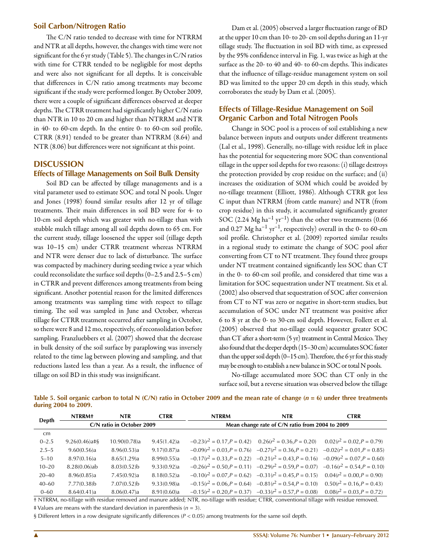# **Soil Carbon/Nitrogen Ratio**

The C/N ratio tended to decrease with time for NTRRM and NTR at all depths, however, the changes with time were not significant for the 6 yr study (Table 5). The changes in C/N ratios with time for CTRR tended to be negligible for most depths and were also not significant for all depths. It is conceivable that differences in C/N ratio among treatments may become significant if the study were performed longer. By October 2009, there were a couple of significant differences observed at deeper depths. The CTRR treatment had significantly higher C/N ratio than NTR in 10 to 20 cm and higher than NTRRM and NTR in 40- to 60-cm depth. In the entire 0- to 60-cm soil profile, CTRR (8.91) tended to be greater than NTRRM (8.64) and NTR (8.06) but differences were not significant at this point.

# **DISCUSSION**

#### **Effects of Tillage Managements on Soil Bulk Density**

Soil BD can be affected by tillage managements and is a vital parameter used to estimate SOC and total N pools. Unger and Jones (1998) found similar results after 12 yr of tillage treatments. Their main differences in soil BD were for 4- to 10-cm soil depth which was greater with no-tillage than with stubble mulch tillage among all soil depths down to 65 cm. For the current study, tillage loosened the upper soil (tillage depth was 10–15 cm) under CTRR treatment whereas NTRRM and NTR were denser due to lack of disturbance. The surface was compacted by machinery during seeding twice a year which could reconsolidate the surface soil depths (0–2.5 and 2.5–5 cm) in CTRR and prevent differences among treatments from being significant. Another potential reason for the limited differences among treatments was sampling time with respect to tillage timing. The soil was sampled in June and October, whereas tillage for CTRR treatment occurred after sampling in October, so there were 8 and 12 mo, respectively, of reconsolidation before sampling. Franzluebbers et al. (2007) showed that the decrease in bulk density of the soil surface by paraplowing was inversely related to the time lag between plowing and sampling, and that reductions lasted less than a year. As a result, the influence of tillage on soil BD in this study was insignificant.

Dam et al. (2005) observed a larger fluctuation range of BD at the upper 10 cm than 10- to 20- cm soil depths during an 11-yr tillage study. The fluctuation in soil BD with time, as expressed by the 95% confidence interval in Fig. 1, was twice as high at the surface as the 20- to 40 and 40- to 60-cm depths. This indicates that the influence of tillage-residue management system on soil BD was limited to the upper 20 cm depth in this study, which corroborates the study by Dam et al. (2005).

# **Effects of Tillage-Residue Management on Soil Organic Carbon and Total Nitrogen Pools**

Change in SOC pool is a process of soil establishing a new balance between inputs and outputs under different treatments (Lal et al., 1998). Generally, no-tillage with residue left in place has the potential for sequestering more SOC than conventional tillage in the upper soil depths for two reasons: (i) tillage destroys the protection provided by crop residue on the surface; and (ii) increases the oxidization of SOM which could be avoided by no-tillage treatment (Elliott, 1986). Although CTRR got less C input than NTRRM (from cattle manure) and NTR (from crop residue) in this study, it accumulated significantly greater SOC (2.24 Mg ha<sup>-1</sup> yr<sup>-1</sup>) than the other two treatments (0.66 and 0.27  $\text{Mg}$  ha<sup>-1</sup> yr<sup>-1</sup>, respectively) overall in the 0- to 60-cm soil profile. Christopher et al. (2009) reported similar results in a regional study to estimate the change of SOC pool after converting from CT to NT treatment. They found three groups under NT treatment contained significantly less SOC than CT in the 0- to 60-cm soil profile, and considered that time was a limitation for SOC sequestration under NT treatment. Six et al. (2002) also observed that sequestration of SOC after conversion from CT to NT was zero or negative in short-term studies, but accumulation of SOC under NT treatment was positive after 6 to 8 yr at the 0- to 30-cm soil depth. However, Follett et al. (2005) observed that no-tillage could sequester greater SOC than CT after a short-term (5 yr) treatment in Central Mexico. They also found that the deeper depth (15–30 cm) accumulates SOC faster than the upper soil depth (0–15 cm). Therefore, the 6 yr for this study may be enough to establish a new balance in SOC or total N pools.

No-tillage accumulated more SOC than CT only in the surface soil, but a reverse situation was observed below the tillage

|              | <b>NTRRM+</b>    | <b>NTR</b>                | <b>CTRR</b> | <b>NTRRM</b>                                    | <b>NTR</b>                                                                                | <b>CTRR</b>                  |  |
|--------------|------------------|---------------------------|-------------|-------------------------------------------------|-------------------------------------------------------------------------------------------|------------------------------|--|
| <b>Depth</b> |                  | C/N ratio in October 2009 |             | Mean change rate of C/N ratio from 2004 to 2009 |                                                                                           |                              |  |
| cm           |                  |                           |             |                                                 |                                                                                           |                              |  |
| $0 - 2.5$    | $9.26(0.46)a$ #§ | 10.90(0.78)a              | 9.45(1.42)a |                                                 | $-0.23(r^2 = 0.17, P = 0.42)$ $0.26(r^2 = 0.36, P = 0.20)$                                | $0.02(r^2 = 0.02, P = 0.79)$ |  |
| $2.5 - 5$    | 9.60(0.56)a      | 8.96(0.53)a               | 9.17(0.87)a |                                                 | $-0.09(r^2 = 0.03, P = 0.76)$ $-0.27(r^2 = 0.36, P = 0.21)$ $-0.02(r^2 = 0.01, P = 0.85)$ |                              |  |
| $5 - 10$     | 8.97(0.16)a      | 8.65(1.29)a               | 8.99(0.55)a |                                                 | $-0.17(r^2 = 0.33, P = 0.22)$ $-0.21(r^2 = 0.43, P = 0.16)$ $-0.09(r^2 = 0.07, P = 0.60)$ |                              |  |
| $10 - 20$    | $8.28(0.06)$ ab  | 8.03(0.52)                | 9.33(0.92)a |                                                 | $-0.26(r^2 = 0.50, P = 0.11)$ $-0.29(r^2 = 0.59, P = 0.07)$ $-0.16(r^2 = 0.54, P = 0.10)$ |                              |  |
| $20 - 40$    | 8.96(0.85)a      | 7.45(0.92)a               | 8.18(0.52)a |                                                 | $-0.10(r^2 = 0.07, P = 0.62)$ $-0.31(r^2 = 0.45, P = 0.15)$ $0.04(r^2 = 0.00, P = 0.90)$  |                              |  |
| $40 - 60$    | $7.77(0.38)$ b   | $7.07(0.52)$ b            | 9.33(0.98)a |                                                 | $-0.15(r^2 = 0.06, P = 0.64)$ $-0.81(r^2 = 0.54, P = 0.10)$ $0.50(r^2 = 0.16, P = 0.43)$  |                              |  |
| $0 - 60$     | 8.64(0.41)a      | 8.06(0.47)a               | 8.91(0.60)a |                                                 | $-0.15(r^2 = 0.20, P = 0.37)$ $-0.33(r^2 = 0.57, P = 0.08)$                               | $0.08(r^2 = 0.03, P = 0.72)$ |  |

Table 5. Soil organic carbon to total N (C/N) ratio in October 2009 and the mean rate of change (*n* = 6) under three treatments **during 2004 to 2009.**

† NTRRM, no-tillage with residue removed and manure added; NTR, no-tillage with residue; CTRR, conventional tillage with residue removed.

‡ Values are means with the standard deviation in parenthesis (*n* = 3).

§ Different letters in a row designate significantly differences ( $P < 0.05$ ) among treatments for the same soil depth.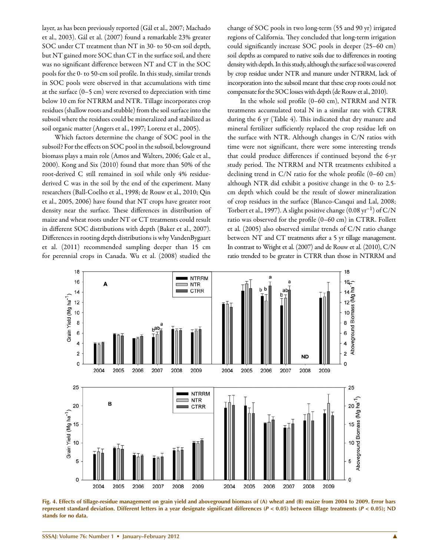layer, as has been previously reported (Gál et al., 2007; Machado et al., 2003). Gál et al. (2007) found a remarkable 23% greater SOC under CT treatment than NT in 30- to 50-cm soil depth, but NT gained more SOC than CT in the surface soil, and there was no significant difference between NT and CT in the SOC pools for the 0- to 50-cm soil profile. In this study, similar trends in SOC pools were observed in that accumulations with time at the surface (0–5 cm) were reversed to depreciation with time below 10 cm for NTRRM and NTR. Tillage incorporates crop residues (shallow roots and stubble) from the soil surface into the subsoil where the residues could be mineralized and stabilized as soil organic matter (Angers et al., 1997; Lorenz et al., 2005).

Which factors determine the change of SOC pool in the subsoil? For the effects on SOC pool in the subsoil, belowground biomass plays a main role (Amos and Walters, 2006; Gale et al., 2000). Kong and Six (2010) found that more than 50% of the root-derived C still remained in soil while only 4% residuederived C was in the soil by the end of the experiment. Many researchers (Ball-Coelho et al., 1998; de Rouw et al., 2010; Qin et al., 2005, 2006) have found that NT crops have greater root density near the surface. These differences in distribution of maize and wheat roots under NT or CT treatments could result in different SOC distributions with depth (Baker et al., 2007). Differences in rooting depth distributions is why VandenBygaart et al. (2011) recommended sampling deeper than 15 cm for perennial crops in Canada. Wu et al. (2008) studied the

change of SOC pools in two long-term (55 and 90 yr) irrigated regions of California. They concluded that long-term irrigation could significantly increase SOC pools in deeper (25–60 cm) soil depths as compared to native soils due to differences in rooting density with depth. In this study, although the surface soil was covered by crop residue under NTR and manure under NTRRM, lack of incorporation into the subsoil meant that these crop roots could not compensate for the SOC losses with depth (de Rouw et al., 2010).

In the whole soil profile (0–60 cm), NTRRM and NTR treatments accumulated total N in a similar rate with CTRR during the 6 yr (Table 4). This indicated that dry manure and mineral fertilizer sufficiently replaced the crop residue left on the surface with NTR. Although changes in C/N ratios with time were not significant, there were some interesting trends that could produce differences if continued beyond the 6-yr study period. The NTRRM and NTR treatments exhibited a declining trend in C/N ratio for the whole profile (0–60 cm) although NTR did exhibit a positive change in the 0- to 2.5 cm depth which could be the result of slower mineralization of crop residues in the surface (Blanco-Canqui and Lal, 2008; Torbert et al., 1997). A slight positive change  $(0.08 \,\mathrm{yr}^{-1})$  of C/N ratio was observed for the profile (0–60 cm) in CTRR. Follett et al. (2005) also observed similar trends of C/N ratio change between NT and CT treatments after a 5 yr tillage management. In contrast to Wright et al. (2007) and de Rouw et al. (2010), C/N ratio trended to be greater in CTRR than those in NTRRM and



**Fig. 4. Effects of tillage-residue management on grain yield and aboveground biomass of (A) wheat and (B) maize from 2004 to 2009. Error bars represent standard deviation. Different letters in a year designate significant differences (***P* **< 0.05) between tillage treatments (***P* **< 0.05); ND stands for no data.**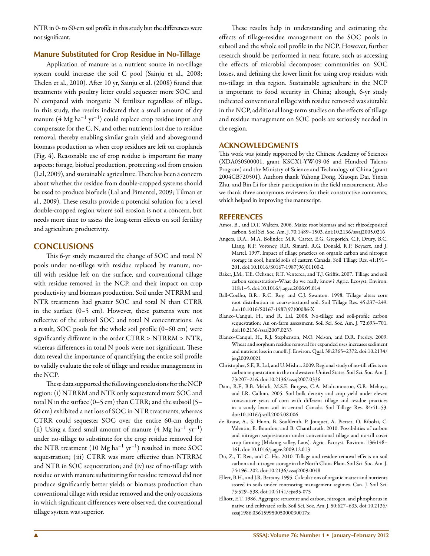NTR in 0- to 60-cm soil profile in this study but the differences were not significant.

# **Manure Substituted for Crop Residue in No-Tillage**

Application of manure as a nutrient source in no-tillage system could increase the soil C pool (Sainju et al., 2008; Thelen et al., 2010). After 10 yr, Sainju et al. (2008) found that treatments with poultry litter could sequester more SOC and N compared with inorganic N fertilizer regardless of tillage. In this study, the results indicated that a small amount of dry manure  $(4 \text{ Mg ha}^{-1} \text{ yr}^{-1})$  could replace crop residue input and compensate for the C, N, and other nutrients lost due to residue removal, thereby enabling similar grain yield and aboveground biomass production as when crop residues are left on croplands (Fig. 4). Reasonable use of crop residue is important for many aspects: forage, biofuel production, protecting soil from erosion (Lal, 2009), and sustainable agriculture. There has been a concern about whether the residue from double-cropped systems should be used to produce biofuels (Lal and Pimentel, 2009; Tilman et al., 2009). These results provide a potential solution for a level double-cropped region where soil erosion is not a concern, but needs more time to assess the long-term effects on soil fertility and agriculture productivity.

# **CONCLUSIONS**

This 6-yr study measured the change of SOC and total N pools under no-tillage with residue replaced by manure, notill with residue left on the surface, and conventional tillage with residue removed in the NCP, and their impact on crop productivity and biomass production. Soil under NTRRM and NTR treatments had greater SOC and total N than CTRR in the surface (0–5 cm). However, these patterns were not reflective of the subsoil SOC and total N concentrations. As a result, SOC pools for the whole soil profile (0–60 cm) were significantly different in the order CTRR > NTRRM > NTR, whereas differences in total N pools were not significant. These data reveal the importance of quantifying the entire soil profile to validly evaluate the role of tillage and residue management in the NCP.

These data supported the following conclusions for the NCP region: (i) NTRRM and NTR only sequestered more SOC and total N in the surface (0–5 cm) than CTRR; and the subsoil (5– 60 cm) exhibited a net loss of SOC in NTR treatments, whereas CTRR could sequester SOC over the entire 60-cm depth; (ii) Using a fixed small amount of manure  $(4 \text{ Mg ha}^{-1} \text{ yr}^{-1})$ under no-tillage to substitute for the crop residue removed for the NTR treatment  $(10 \text{ Mg ha}^{-1} \text{ yr}^{-1})$  resulted in more SOC sequestration; (iii) CTRR was more effective than NTRRM and NTR in SOC sequestration; and (iv) use of no-tillage with residue or with manure substituting for residue removed did not produce significantly better yields or biomass production than conventional tillage with residue removed and the only occasions in which significant differences were observed, the conventional tillage system was superior.

These results help in understanding and estimating the effects of tillage-residue management on the SOC pools in subsoil and the whole soil profile in the NCP. However, further research should be performed in near future, such as accessing the effects of microbial decomposer communities on SOC losses, and defining the lower limit for using crop residues with no-tillage in this region. Sustainable agriculture in the NCP is important to food security in China; altough, 6-yr study indicated conventional tillage with residue removed was siutable in the NCP, additional long-term studies on the effects of tillage and residue management on SOC pools are seriously needed in the region.

#### **ACKNOWLEDGMENTS**

This work was jointly supported by the Chinese Academy of Sciences (XDA050500001, grant KSCX1-YW-09-06 and Hundred Talents Program) and the Ministry of Science and Technology of China (grant 2004CB720501). Authors thank Yuhong Dong, Xiaoqin Dai, Yinxia Zhu, and Bin Li for their participation in the field measurement. Also we thank three anonymous reviewers for their constructive comments, which helped in improving the manuscript.

#### **REFERENCES**

- Amos, B., and D.T. Walters. 2006. Maize root biomass and net rhizodeposited carbon. Soil Sci. Soc. Am. J. 70:1489–1503. doi:10.2136/sssaj2005.0216
- Angers, D.A., M.A. Bolinder, M.R. Carter, E.G. Gregorich, C.F. Drury, B.C. Liang, R.P. Voroney, R.R. Simard, R.G. Donald, R.P. Beyaert, and J. Martel. 1997. Impact of tillage practices on organic carbon and nitrogen storage in cool, humid soils of eastern Canada. Soil Tillage Res. 41:191– 201. doi:10.1016/S0167-1987(96)01100-2
- Baker, J.M., T.E. Ochsner, R.T. Venterea, and T.J. Griffis. 2007. Tillage and soil carbon sequestration–What do we really know? Agric. Ecosyst. Environ. 118:1–5. doi:10.1016/j.agee.2006.05.014
- Ball-Coelho, B.R., R.C. Roy, and C.J. Swanton. 1998. Tillage alters corn root distribution in coarse-textured soil. Soil Tillage Res. 45:237–249. doi:10.1016/S0167-1987(97)00086-X
- Blanco-Canqui, H., and R. Lal. 2008. No-tillage and soil-profile carbon sequestration: An on-farm assessment. Soil Sci. Soc. Am. J. 72:693–701. doi:10.2136/sssaj2007.0233
- Blanco-Canqui, H., R.J. Stephenson, N.O. Nelson, and D.R. Presley. 2009. Wheat and sorghum residue removal for expanded uses increases sediment and nutrient loss in runoff. J. Environ. Qual. 38:2365–2372. doi:10.2134/ jeq2009.0021
- Christopher, S.F., R. Lal, and U. Mishra. 2009. Regional study of no-till effects on carbon sequestration in the midwestern United States. Soil Sci. Soc. Am. J. 73:207–216. doi:10.2136/sssaj2007.0336
- Dam, R.F., B.B. Mehdi, M.S.E. Burgess, C.A. Madramootoo, G.R. Mehuys, and I.R. Callum. 2005. Soil bulk density and crop yield under eleven consecutive years of corn with different tillage and residue practices in a sandy loam soil in central Canada. Soil Tillage Res. 84:41–53. doi:10.1016/j.still.2004.08.006
- de Rouw, A., S. Huon, B. Soulileuth, P. Jouquet, A. Pierret, O. Ribolzi, C. Valentin, E. Bourdon, and B. Chantharath. 2010. Possibilities of carbon and nitrogen sequestration under conventional tillage and no-till cover crop farming (Mekong valley, Laos). Agric. Ecosyst. Environ. 136:148– 161. doi:10.1016/j.agee.2009.12.013
- Du, Z., T. Ren, and C. Hu. 2010. Tillage and residue removal effects on soil carbon and nitrogen storage in the North China Plain. Soil Sci. Soc. Am. J. 74:196–202. doi:10.2136/sssaj2009.0048
- Ellert, B.H., and J.R. Bettany. 1995. Calculations of organic matter and nutrients stored in soils under contrasting management regimes. Can. J. Soil Sci. 75:529–538. doi:10.4141/cjss95-075
- Elliott, E.T. 1986. Aggregate structure and carbon, nitrogen, and phosphorus in native and cultivated soils. Soil Sci. Soc. Am. J. 50:627–633. doi:10.2136/ sssaj1986.03615995005000030017x